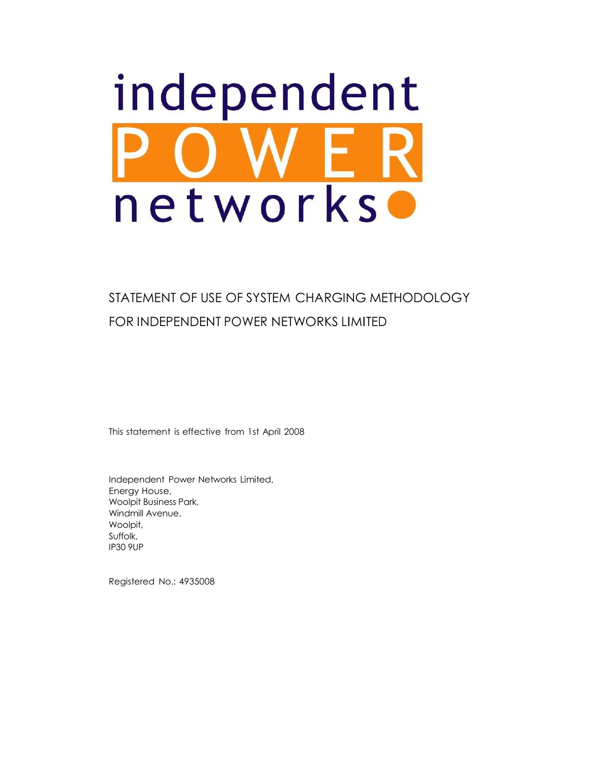# independent networks

# STATEMENT OF USE OF SYSTEM CHARGING METHODOLOGY FOR INDEPENDENT POWER NETWORKS LIMITED

This statement is effective from 1st April 2008

Independent Power Networks Limited, Energy House, Woolpit Business Park, Windmill Avenue, Woolpit, Suffolk, IP30 9UP

Registered No.: 4935008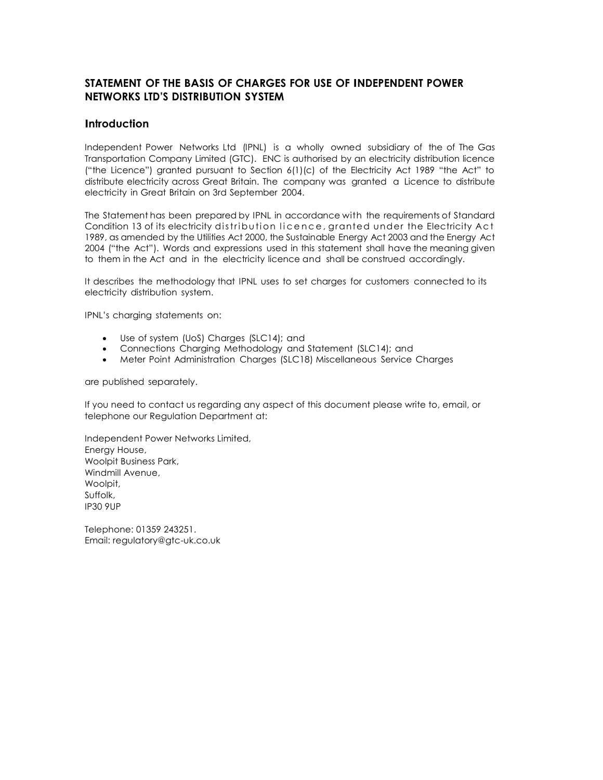# **STATEMENT OF THE BASIS OF CHARGES FOR USE OF INDEPENDENT POWER NETWORKS LTD'S DISTRIBUTION SYSTEM**

#### **Introduction**

Independent Power Networks Ltd (IPNL) is a wholly owned subsidiary of the of The Gas Transportation Company Limited (GTC). ENC is authorised by an electricity distribution licence ("the Licence") granted pursuant to Section 6(1)(c) of the Electricity Act 1989 "the Act" to distribute electricity across Great Britain. The company was granted a Licence to distribute electricity in Great Britain on 3rd September 2004.

The Statement has been prepared by IPNL in accordance with the requirements of Standard Condition 13 of its electricity distribution licence, granted under the Electricity Act 1989, as amended by the Utilities Act 2000, the Sustainable Energy Act 2003 and the Energy Act 2004 ("the Act"). Words and expressions used in this statement shall have the meaning given to them in the Act and in the electricity licence and shall be construed accordingly.

It describes the methodology that IPNL uses to set charges for customers connected to its electricity distribution system.

IPNL's charging statements on:

- Use of system (UoS) Charges (SLC14); and
- Connections Charging Methodology and Statement (SLC14); and
- Meter Point Administration Charges (SLC18) Miscellaneous Service Charges

are published separately.

If you need to contact us regarding any aspect of this document please write to, email, or telephone our Regulation Department at:

Independent Power Networks Limited, Energy House, Woolpit Business Park, Windmill Avenue, Woolpit, Suffolk, IP30 9UP

Telephone: 01359 243251. Email: regulatory@gtc-uk.co.uk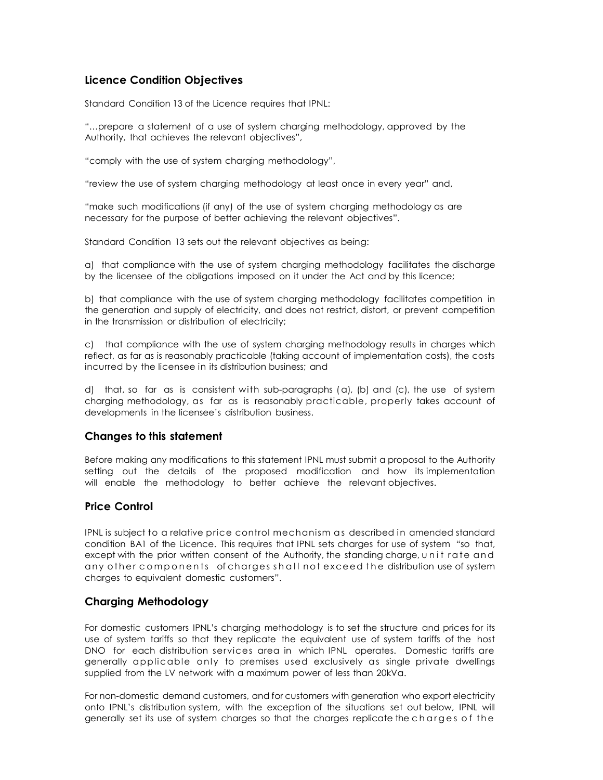# **Licence Condition Objectives**

Standard Condition 13 of the Licence requires that IPNL:

"…prepare a statement of a use of system charging methodology, approved by the Authority, that achieves the relevant objectives",

"comply with the use of system charging methodology",

"review the use of system charging methodology at least once in every year" and,

"make such modifications (if any) of the use of system charging methodology as are necessary for the purpose of better achieving the relevant objectives".

Standard Condition 13 sets out the relevant objectives as being:

a) that compliance with the use of system charging methodology facilitates the discharge by the licensee of the obligations imposed on it under the Act and by this licence;

b) that compliance with the use of system charging methodology facilitates competition in the generation and supply of electricity, and does not restrict, distort, or prevent competition in the transmission or distribution of electricity;

c) that compliance with the use of system charging methodology results in charges which reflect, as far as is reasonably practicable (taking account of implementation costs), the costs incurred by the licensee in its distribution business; and

d) that, so far as is consistent with sub-paragraphs (a), (b) and (c), the use of system charging methodology, as far as is reasonably practicable, properly takes account of developments in the licensee's distribution business.

#### **Changes to this statement**

Before making any modifications to this statement IPNL must submit a proposal to the Authority setting out the details of the proposed modification and how its implementation will enable the methodology to better achieve the relevant objectives.

# **Price Control**

IPNL is subject to a relative price control mechanism as described in amended standard condition BA1 of the Licence. This requires that IPNL sets charges for use of system "so that, except with the prior written consent of the Authority, the standing charge, unit rate and any other components of charges shall not exceed the distribution use of system charges to equivalent domestic customers".

#### **Charging Methodology**

For domestic customers IPNL's charging methodology is to set the structure and prices for its use of system tariffs so that they replicate the equivalent use of system tariffs of the host DNO for each distribution services area in which IPNL operates. Domestic tariffs are generally applic able only to premises used exclusively as single private dwellings supplied from the LV network with a maximum power of less than 20kVa.

For non-domestic demand customers, and for customers with generation who export electricity onto IPNL's distribution system, with the exception of the situations set out below, IPNL will generally set its use of system charges so that the charges replicate the charges of the